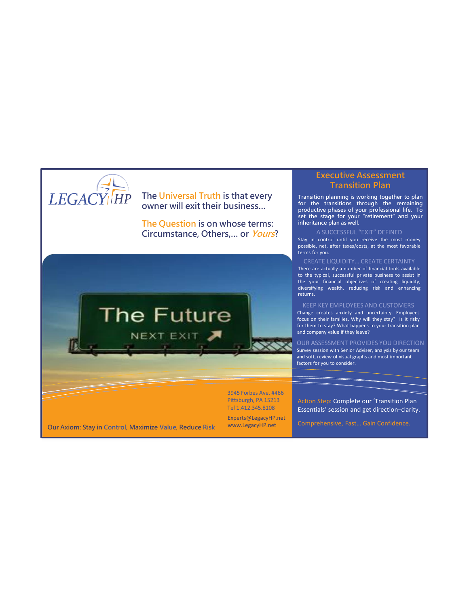

## **The Universal Truth is that every owner will exit their business…**

**The Question is on whose terms: Circumstance, Others,… or Yours?**



3945 Forbes Ave. #466 Pittsburgh, PA 15213 Tel 1.412.345.8108

Experts@LegacyHP.net www.LegacyHP.net

## **Executive Assessment Transition Plan**

**Transition planning is working together to plan for the transitions through the remaining productive phases of your professional life. To set the stage for your "retirement" and your inheritance plan as well.**

A SUCCESSFUL "EXIT" DEFINED Stay in control until you receive the most money possible, net, after taxes/costs, at the most favorable terms for you.

CREATE LIQUIDITY… CREATE CERTAINTY There are actually a number of financial tools available to the typical, successful private business to assist in the your financial objectives of creating liquidity, diversifying wealth, reducing risk and enhancing returns.

KEEP KEY EMPLOYEES AND CUSTOMERS Change creates anxiety and uncertainty. Employees focus on their families. Why will they stay? Is it risky for them to stay? What happens to your transition plan and company value if they leave?

OUR ASSESSMENT PROVIDES YOU DIRECTION Survey session with Senior Adviser, analysis by our team and soft, review of visual graphs and most important factors for you to consider.

Action Step: Complete our 'Transition Plan Essentials' session and get direction–clarity.

**Our Axiom: Stay in Control, Maximize Value, Reduce Risk**